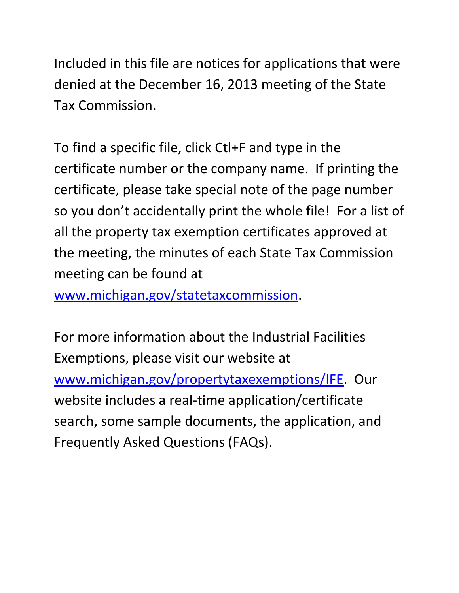Included in this file are notices for applications that were denied at the December 16, 2013 meeting of the State Tax Commission.

To find a specific file, click Ctl+F and type in the certificate number or the company name. If printing the certificate, please take special note of the page number so you don't accidentally print the whole file! For a list of all the property tax exemption certificates approved at the meeting, the minutes of each State Tax Commission meeting can be found at

[www.michigan.gov/statetaxcommission.](http://www.michigan.gov/statetaxcommission)

For more information about the Industrial Facilities Exemptions, please visit our website at [www.michigan.gov/propertytaxexemptions/IFE.](http://www.michigan.gov/taxes/0,1607,7-238-43535_53197-213175--,00.html) Our website includes a real-time application/certificate search, some sample documents, the application, and Frequently Asked Questions (FAQs).